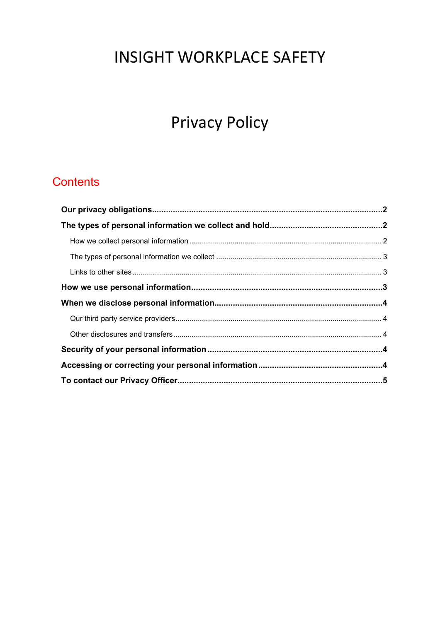# **INSIGHT WORKPLACE SAFETY**

# **Privacy Policy**

# **Contents**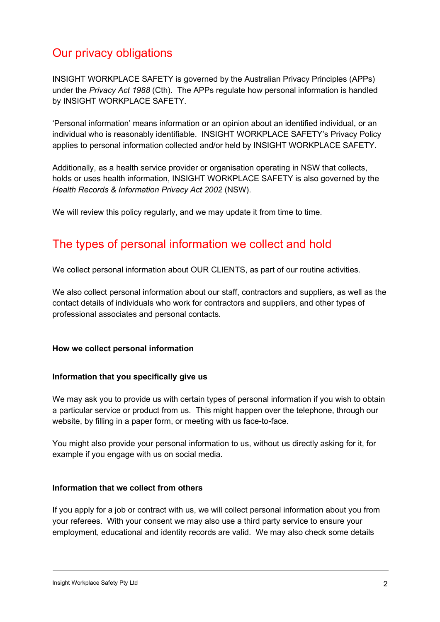# Our privacy obligations

INSIGHT WORKPLACE SAFETY is governed by the Australian Privacy Principles (APPs) under the Privacy Act 1988 (Cth). The APPs regulate how personal information is handled by INSIGHT WORKPLACE SAFETY.

'Personal information' means information or an opinion about an identified individual, or an individual who is reasonably identifiable. INSIGHT WORKPLACE SAFETY's Privacy Policy applies to personal information collected and/or held by INSIGHT WORKPLACE SAFETY.

Additionally, as a health service provider or organisation operating in NSW that collects, holds or uses health information, INSIGHT WORKPLACE SAFETY is also governed by the Health Records & Information Privacy Act 2002 (NSW).

We will review this policy regularly, and we may update it from time to time.

# The types of personal information we collect and hold

We collect personal information about OUR CLIENTS, as part of our routine activities.

We also collect personal information about our staff, contractors and suppliers, as well as the contact details of individuals who work for contractors and suppliers, and other types of professional associates and personal contacts.

#### How we collect personal information

#### Information that you specifically give us

We may ask you to provide us with certain types of personal information if you wish to obtain a particular service or product from us. This might happen over the telephone, through our website, by filling in a paper form, or meeting with us face-to-face.

You might also provide your personal information to us, without us directly asking for it, for example if you engage with us on social media.

#### Information that we collect from others

If you apply for a job or contract with us, we will collect personal information about you from your referees. With your consent we may also use a third party service to ensure your employment, educational and identity records are valid. We may also check some details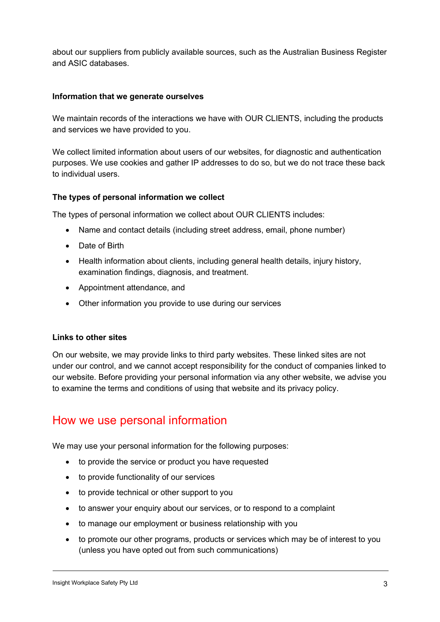about our suppliers from publicly available sources, such as the Australian Business Register and ASIC databases.

#### Information that we generate ourselves

We maintain records of the interactions we have with OUR CLIENTS, including the products and services we have provided to you.

We collect limited information about users of our websites, for diagnostic and authentication purposes. We use cookies and gather IP addresses to do so, but we do not trace these back to individual users.

#### The types of personal information we collect

The types of personal information we collect about OUR CLIENTS includes:

- Name and contact details (including street address, email, phone number)
- Date of Birth
- Health information about clients, including general health details, injury history, examination findings, diagnosis, and treatment.
- Appointment attendance, and
- Other information you provide to use during our services

#### Links to other sites

On our website, we may provide links to third party websites. These linked sites are not under our control, and we cannot accept responsibility for the conduct of companies linked to our website. Before providing your personal information via any other website, we advise you to examine the terms and conditions of using that website and its privacy policy.

### How we use personal information

We may use your personal information for the following purposes:

- to provide the service or product you have requested
- to provide functionality of our services
- to provide technical or other support to you
- to answer your enquiry about our services, or to respond to a complaint
- to manage our employment or business relationship with you
- to promote our other programs, products or services which may be of interest to you (unless you have opted out from such communications)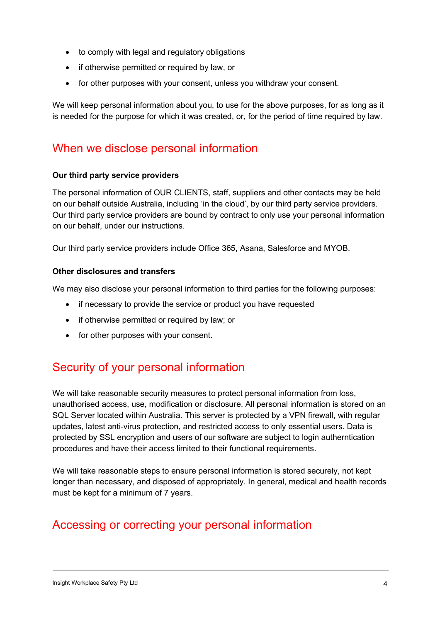- to comply with legal and regulatory obligations
- if otherwise permitted or required by law, or
- for other purposes with your consent, unless you withdraw your consent.

We will keep personal information about you, to use for the above purposes, for as long as it is needed for the purpose for which it was created, or, for the period of time required by law.

## When we disclose personal information

#### Our third party service providers

The personal information of OUR CLIENTS, staff, suppliers and other contacts may be held on our behalf outside Australia, including 'in the cloud', by our third party service providers. Our third party service providers are bound by contract to only use your personal information on our behalf, under our instructions.

Our third party service providers include Office 365, Asana, Salesforce and MYOB.

#### Other disclosures and transfers

We may also disclose your personal information to third parties for the following purposes:

- if necessary to provide the service or product you have requested
- if otherwise permitted or required by law; or
- for other purposes with your consent.

# Security of your personal information

We will take reasonable security measures to protect personal information from loss, unauthorised access, use, modification or disclosure. All personal information is stored on an SQL Server located within Australia. This server is protected by a VPN firewall, with regular updates, latest anti-virus protection, and restricted access to only essential users. Data is protected by SSL encryption and users of our software are subject to login autherntication procedures and have their access limited to their functional requirements.

We will take reasonable steps to ensure personal information is stored securely, not kept longer than necessary, and disposed of appropriately. In general, medical and health records must be kept for a minimum of 7 years.

# Accessing or correcting your personal information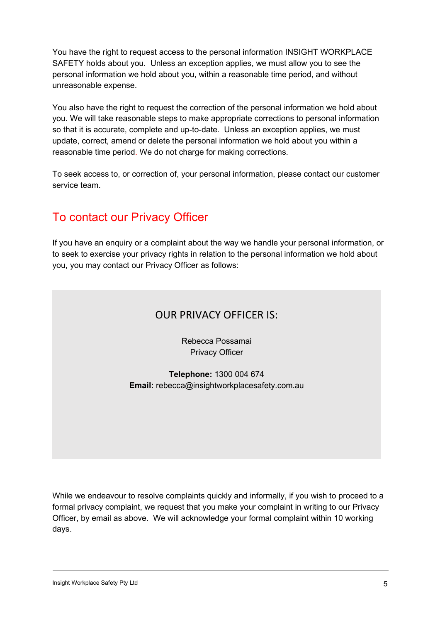You have the right to request access to the personal information INSIGHT WORKPLACE SAFETY holds about you. Unless an exception applies, we must allow you to see the personal information we hold about you, within a reasonable time period, and without unreasonable expense.

You also have the right to request the correction of the personal information we hold about you. We will take reasonable steps to make appropriate corrections to personal information so that it is accurate, complete and up-to-date. Unless an exception applies, we must update, correct, amend or delete the personal information we hold about you within a reasonable time period. We do not charge for making corrections.

To seek access to, or correction of, your personal information, please contact our customer service team.

# To contact our Privacy Officer

If you have an enquiry or a complaint about the way we handle your personal information, or to seek to exercise your privacy rights in relation to the personal information we hold about you, you may contact our Privacy Officer as follows:

### OUR PRIVACY OFFICER IS:

Rebecca Possamai Privacy Officer

Telephone: 1300 004 674 Email: rebecca@insightworkplacesafety.com.au

While we endeavour to resolve complaints quickly and informally, if you wish to proceed to a formal privacy complaint, we request that you make your complaint in writing to our Privacy Officer, by email as above. We will acknowledge your formal complaint within 10 working days.